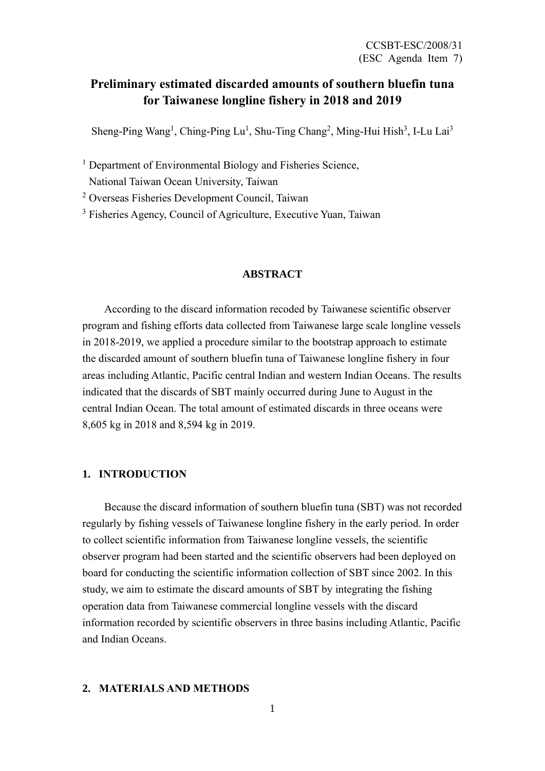# **Preliminary estimated discarded amounts of southern bluefin tuna for Taiwanese longline fishery in 2018 and 2019**

Sheng-Ping Wang<sup>1</sup>, Ching-Ping Lu<sup>1</sup>, Shu-Ting Chang<sup>2</sup>, Ming-Hui Hish<sup>3</sup>, I-Lu Lai<sup>3</sup>

<sup>1</sup> Department of Environmental Biology and Fisheries Science,

National Taiwan Ocean University, Taiwan

<sup>2</sup> Overseas Fisheries Development Council, Taiwan

<sup>3</sup> Fisheries Agency, Council of Agriculture, Executive Yuan, Taiwan

#### **ABSTRACT**

 According to the discard information recoded by Taiwanese scientific observer program and fishing efforts data collected from Taiwanese large scale longline vessels in 2018-2019, we applied a procedure similar to the bootstrap approach to estimate the discarded amount of southern bluefin tuna of Taiwanese longline fishery in four areas including Atlantic, Pacific central Indian and western Indian Oceans. The results indicated that the discards of SBT mainly occurred during June to August in the central Indian Ocean. The total amount of estimated discards in three oceans were 8,605 kg in 2018 and 8,594 kg in 2019.

## **1. INTRODUCTION**

Because the discard information of southern bluefin tuna (SBT) was not recorded regularly by fishing vessels of Taiwanese longline fishery in the early period. In order to collect scientific information from Taiwanese longline vessels, the scientific observer program had been started and the scientific observers had been deployed on board for conducting the scientific information collection of SBT since 2002. In this study, we aim to estimate the discard amounts of SBT by integrating the fishing operation data from Taiwanese commercial longline vessels with the discard information recorded by scientific observers in three basins including Atlantic, Pacific and Indian Oceans.

## **2. MATERIALS AND METHODS**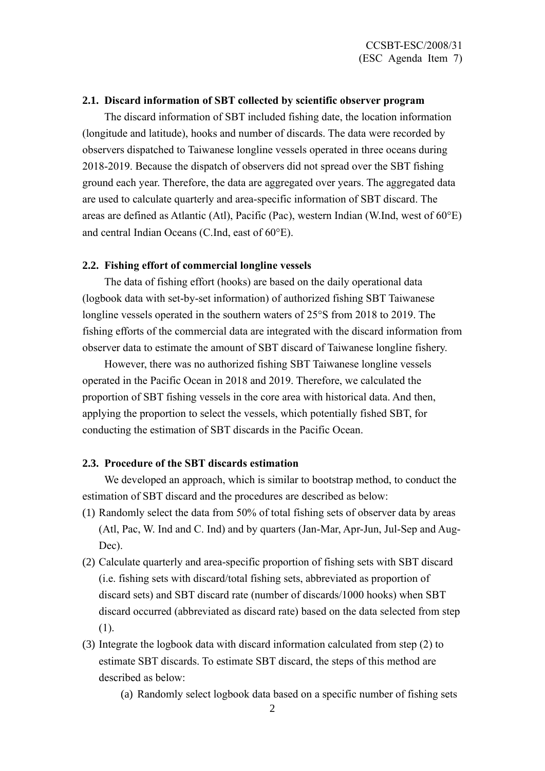## **2.1. Discard information of SBT collected by scientific observer program**

The discard information of SBT included fishing date, the location information (longitude and latitude), hooks and number of discards. The data were recorded by observers dispatched to Taiwanese longline vessels operated in three oceans during 2018-2019. Because the dispatch of observers did not spread over the SBT fishing ground each year. Therefore, the data are aggregated over years. The aggregated data are used to calculate quarterly and area-specific information of SBT discard. The areas are defined as Atlantic (Atl), Pacific (Pac), western Indian (W.Ind, west of 60°E) and central Indian Oceans (C.Ind, east of 60°E).

#### **2.2. Fishing effort of commercial longline vessels**

The data of fishing effort (hooks) are based on the daily operational data (logbook data with set-by-set information) of authorized fishing SBT Taiwanese longline vessels operated in the southern waters of 25°S from 2018 to 2019. The fishing efforts of the commercial data are integrated with the discard information from observer data to estimate the amount of SBT discard of Taiwanese longline fishery.

However, there was no authorized fishing SBT Taiwanese longline vessels operated in the Pacific Ocean in 2018 and 2019. Therefore, we calculated the proportion of SBT fishing vessels in the core area with historical data. And then, applying the proportion to select the vessels, which potentially fished SBT, for conducting the estimation of SBT discards in the Pacific Ocean.

#### **2.3. Procedure of the SBT discards estimation**

We developed an approach, which is similar to bootstrap method, to conduct the estimation of SBT discard and the procedures are described as below:

- (1) Randomly select the data from 50% of total fishing sets of observer data by areas (Atl, Pac, W. Ind and C. Ind) and by quarters (Jan-Mar, Apr-Jun, Jul-Sep and Aug-Dec).
- (2) Calculate quarterly and area-specific proportion of fishing sets with SBT discard (i.e. fishing sets with discard/total fishing sets, abbreviated as proportion of discard sets) and SBT discard rate (number of discards/1000 hooks) when SBT discard occurred (abbreviated as discard rate) based on the data selected from step (1).
- (3) Integrate the logbook data with discard information calculated from step (2) to estimate SBT discards. To estimate SBT discard, the steps of this method are described as below:
	- (a) Randomly select logbook data based on a specific number of fishing sets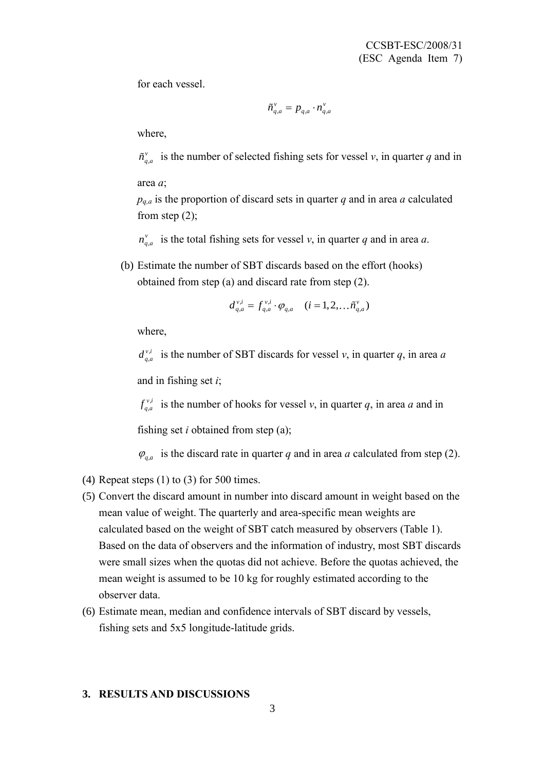for each vessel.

$$
\tilde{n}_{q,a}^v = p_{q,a} \cdot n_{q,a}^v
$$

where,

, *v*  $\tilde{n}_{q,a}^{\nu}$  is the number of selected fishing sets for vessel *v*, in quarter *q* and in

area *a*;

*pq,a* is the proportion of discard sets in quarter *q* and in area *a* calculated from step  $(2)$ ;

, *v*  $n_{q,a}^{\nu}$  is the total fishing sets for vessel *v*, in quarter *q* and in area *a*.

(b) Estimate the number of SBT discards based on the effort (hooks) obtained from step (a) and discard rate from step (2).

$$
d_{q,a}^{v,i} = f_{q,a}^{v,i} \cdot \varphi_{q,a} \quad (i = 1, 2, \dots, \tilde{n}_{q,a}^{v})
$$

where,

, ,  $d_{q,a}^{v,i}$  is the number of SBT discards for vessel *v*, in quarter *q*, in area *a* and in fishing set *i*;

, , *vi*  $f_{q,a}^{v,i}$  is the number of hooks for vessel *v*, in quarter *q*, in area *a* and in

fishing set *i* obtained from step (a);

 $\varphi_{q,a}$  is the discard rate in quarter *q* and in area *a* calculated from step (2).

- (4) Repeat steps  $(1)$  to  $(3)$  for 500 times.
- (5) Convert the discard amount in number into discard amount in weight based on the mean value of weight. The quarterly and area-specific mean weights are calculated based on the weight of SBT catch measured by observers (Table 1). Based on the data of observers and the information of industry, most SBT discards were small sizes when the quotas did not achieve. Before the quotas achieved, the mean weight is assumed to be 10 kg for roughly estimated according to the observer data.
- (6) Estimate mean, median and confidence intervals of SBT discard by vessels, fishing sets and 5x5 longitude-latitude grids.

## **3. RESULTS AND DISCUSSIONS**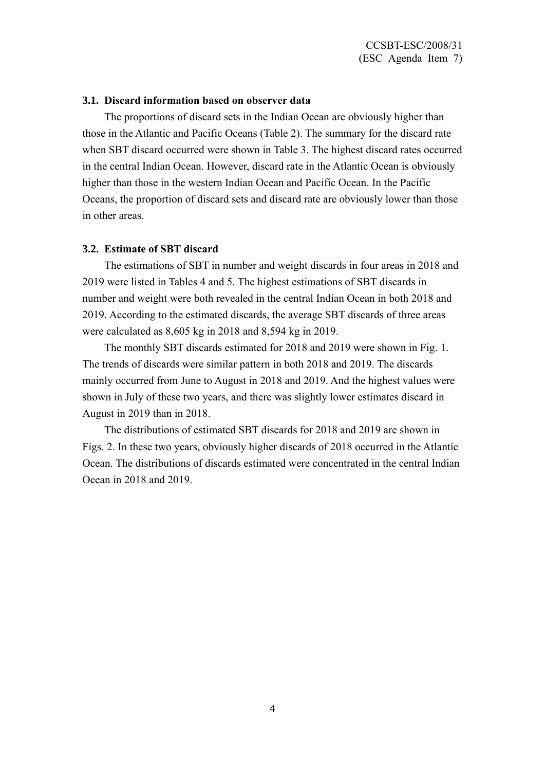### **3.1. Discard information based on observer data**

 The proportions of discard sets in the Indian Ocean are obviously higher than those in the Atlantic and Pacific Oceans (Table 2). The summary for the discard rate when SBT discard occurred were shown in Table 3. The highest discard rates occurred in the central Indian Ocean. However, discard rate in the Atlantic Ocean is obviously higher than those in the western Indian Ocean and Pacific Ocean. In the Pacific Oceans, the proportion of discard sets and discard rate are obviously lower than those in other areas.

#### **3.2. Estimate of SBT discard**

 The estimations of SBT in number and weight discards in four areas in 2018 and 2019 were listed in Tables 4 and 5. The highest estimations of SBT discards in number and weight were both revealed in the central Indian Ocean in both 2018 and 2019. According to the estimated discards, the average SBT discards of three areas were calculated as 8,605 kg in 2018 and 8,594 kg in 2019.

 The monthly SBT discards estimated for 2018 and 2019 were shown in Fig. 1. The trends of discards were similar pattern in both 2018 and 2019. The discards mainly occurred from June to August in 2018 and 2019. And the highest values were shown in July of these two years, and there was slightly lower estimates discard in August in 2019 than in 2018.

 The distributions of estimated SBT discards for 2018 and 2019 are shown in Figs. 2. In these two years, obviously higher discards of 2018 occurred in the Atlantic Ocean. The distributions of discards estimated were concentrated in the central Indian Ocean in 2018 and 2019.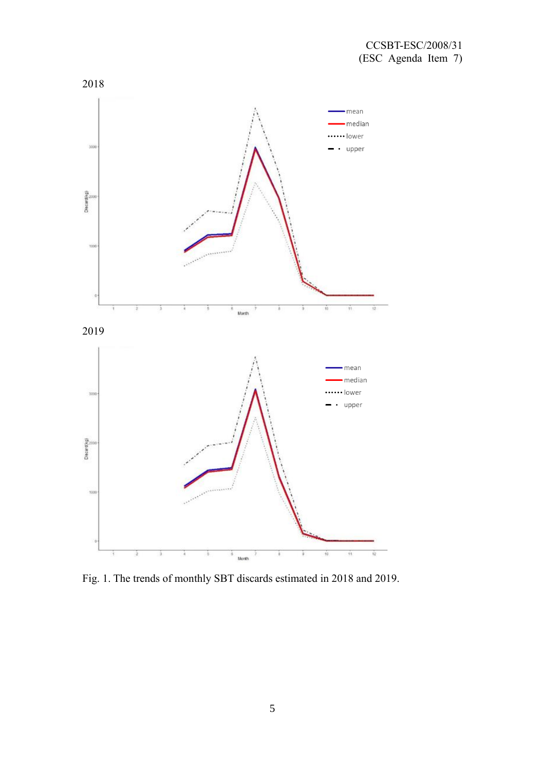

Fig. 1. The trends of monthly SBT discards estimated in 2018 and 2019.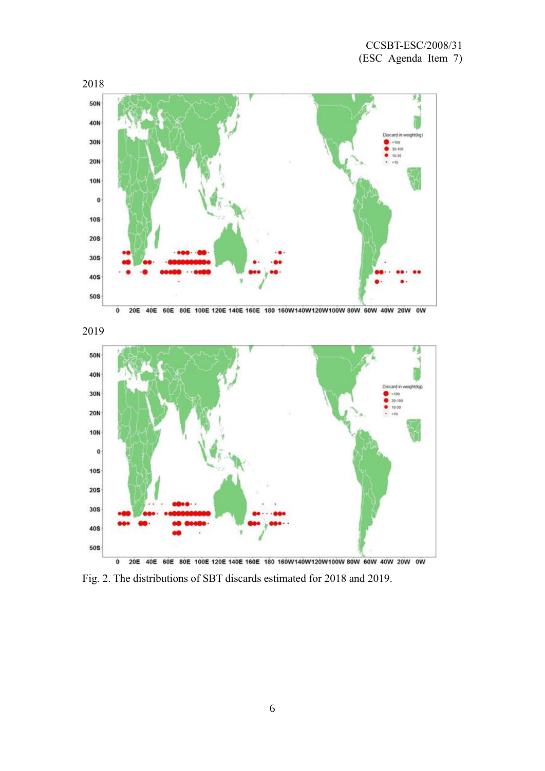



Fig. 2. The distributions of SBT discards estimated for 2018 and 2019.

6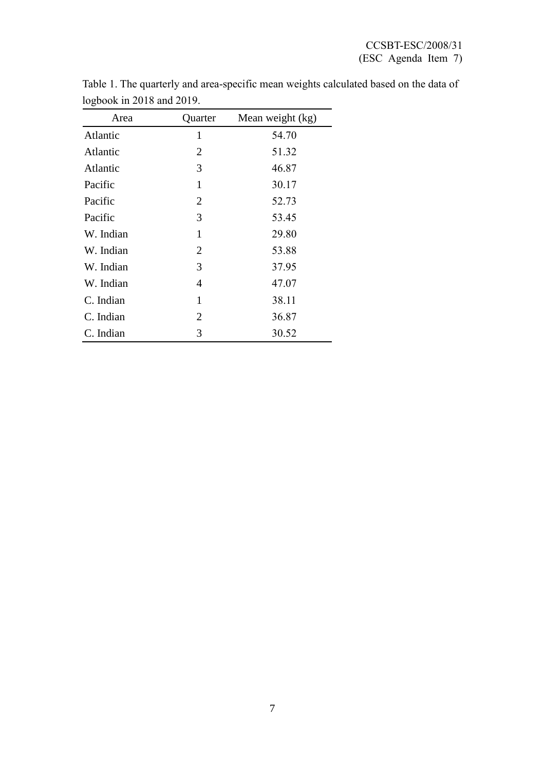| Area      | Quarter        | Mean weight (kg) |
|-----------|----------------|------------------|
| Atlantic  | 1              | 54.70            |
| Atlantic  | $\overline{2}$ | 51.32            |
| Atlantic  | 3              | 46.87            |
| Pacific   | 1              | 30.17            |
| Pacific   | $\overline{2}$ | 52.73            |
| Pacific   | 3              | 53.45            |
| W. Indian | 1              | 29.80            |
| W. Indian | $\overline{2}$ | 53.88            |
| W. Indian | 3              | 37.95            |
| W. Indian | 4              | 47.07            |
| C. Indian | 1              | 38.11            |
| C. Indian | 2              | 36.87            |
| C. Indian | 3              | 30.52            |

Table 1. The quarterly and area-specific mean weights calculated based on the data of logbook in 2018 and 2019.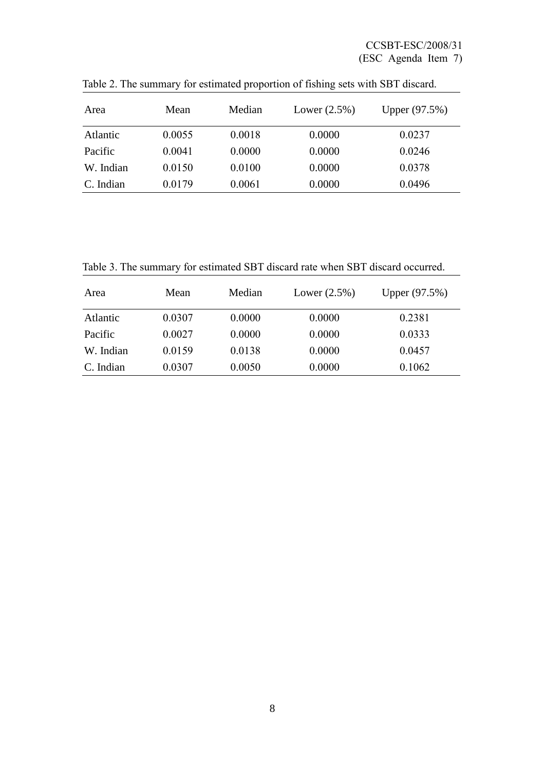| Area      | Mean   | Median | Lower $(2.5\%)$ | Upper (97.5%) |
|-----------|--------|--------|-----------------|---------------|
| Atlantic  | 0.0055 | 0.0018 | 0.0000          | 0.0237        |
| Pacific   | 0.0041 | 0.0000 | 0.0000          | 0.0246        |
| W. Indian | 0.0150 | 0.0100 | 0.0000          | 0.0378        |
| C. Indian | 0.0179 | 0.0061 | 0.0000          | 0.0496        |

Table 2. The summary for estimated proportion of fishing sets with SBT discard.

Table 3. The summary for estimated SBT discard rate when SBT discard occurred.

| Area      | Mean   | Median | Lower $(2.5\%)$ | Upper (97.5%) |
|-----------|--------|--------|-----------------|---------------|
| Atlantic  | 0.0307 | 0.0000 | 0.0000          | 0.2381        |
| Pacific   | 0.0027 | 0.0000 | 0.0000          | 0.0333        |
| W. Indian | 0.0159 | 0.0138 | 0.0000          | 0.0457        |
| C. Indian | 0.0307 | 0.0050 | 0.0000          | 0.1062        |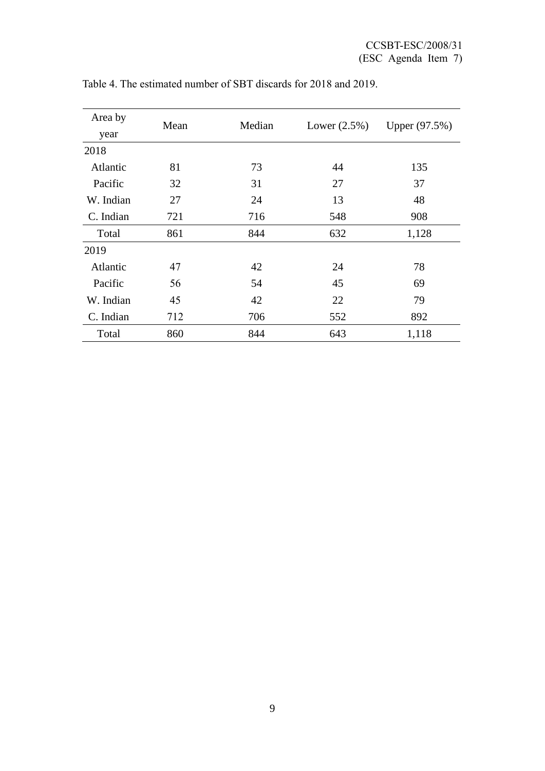| Area by   | Mean | Median | Lower $(2.5\%)$ | Upper (97.5%) |
|-----------|------|--------|-----------------|---------------|
| year      |      |        |                 |               |
| 2018      |      |        |                 |               |
| Atlantic  | 81   | 73     | 44              | 135           |
| Pacific   | 32   | 31     | 27              | 37            |
| W. Indian | 27   | 24     | 13              | 48            |
| C. Indian | 721  | 716    | 548             | 908           |
| Total     | 861  | 844    | 632             | 1,128         |
| 2019      |      |        |                 |               |
| Atlantic  | 47   | 42     | 24              | 78            |
| Pacific   | 56   | 54     | 45              | 69            |
| W. Indian | 45   | 42     | 22              | 79            |
| C. Indian | 712  | 706    | 552             | 892           |
| Total     | 860  | 844    | 643             | 1,118         |

Table 4. The estimated number of SBT discards for 2018 and 2019.